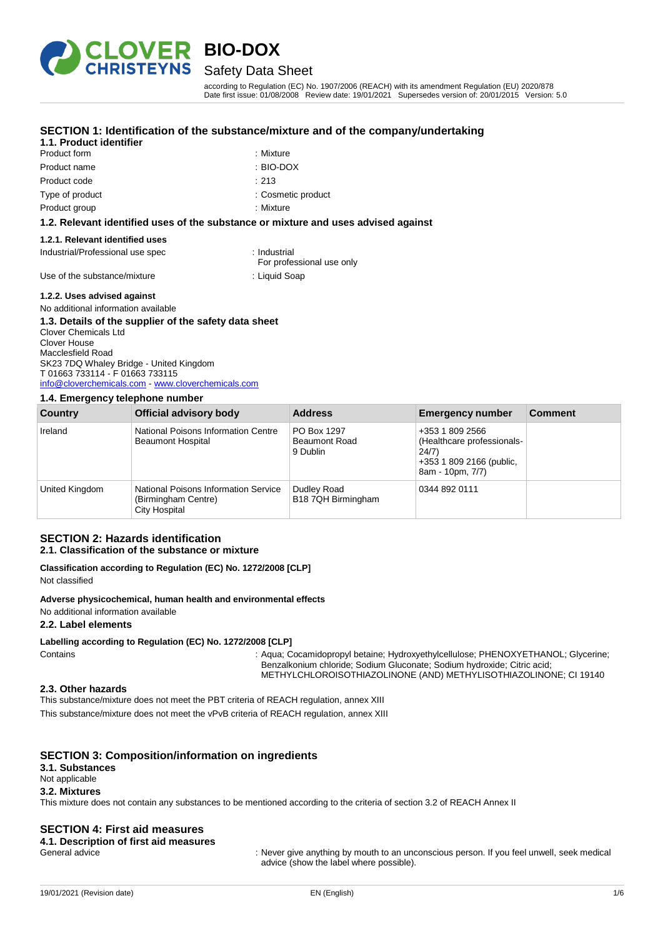

## **BIO-DOX** Safety Data Sheet

according to Regulation (EC) No. 1907/2006 (REACH) with its amendment Regulation (EU) 2020/878 Date first issue: 01/08/2008 Review date: 19/01/2021 Supersedes version of: 20/01/2015 Version: 5.0

#### **SECTION 1: Identification of the substance/mixture and of the company/undertaking**

#### **1.1. Product identifier**

Product form **: Mixture** : Mixture Product name : BIO-DOX Product code : 213

Type of product in the cosmetic product in the cosmetic product in the cosmetic product

Product group **: Mixture** 

#### **1.2. Relevant identified uses of the substance or mixture and uses advised against**

#### **1.2.1. Relevant identified uses**

Industrial/Professional use spec : Industrial

Use of the substance/mixture : Liquid Soap

For professional use only

#### **1.2.2. Uses advised against**

#### No additional information available

#### **1.3. Details of the supplier of the safety data sheet**

Clover Chemicals Ltd Clover House Macclesfield Road SK23 7DQ Whaley Bridge - United Kingdom T 01663 733114 - F 01663 733115 [info@cloverchemicals.com](mailto:info@cloverchemicals.com) - <www.cloverchemicals.com>

#### **1.4. Emergency telephone number**

| Country        | Official advisory body                                                       | <b>Address</b>                                  | <b>Emergency number</b>                                                                                | <b>Comment</b> |
|----------------|------------------------------------------------------------------------------|-------------------------------------------------|--------------------------------------------------------------------------------------------------------|----------------|
| Ireland        | National Poisons Information Centre<br><b>Beaumont Hospital</b>              | PO Box 1297<br><b>Beaumont Road</b><br>9 Dublin | +353 1 809 2566<br>(Healthcare professionals-<br>24/7)<br>+353 1 809 2166 (public,<br>8am - 10pm, 7/7) |                |
| United Kingdom | National Poisons Information Service<br>(Birmingham Centre)<br>City Hospital | Dudley Road<br>B18 7QH Birmingham               | 0344 892 0111                                                                                          |                |

## **SECTION 2: Hazards identification**

# **2.1. Classification of the substance or mixture**

**Classification according to Regulation (EC) No. 1272/2008 [CLP]** Not classified

#### **Adverse physicochemical, human health and environmental effects**

No additional information available

#### **2.2. Label elements**

#### **Labelling according to Regulation (EC) No. 1272/2008 [CLP]**

Contains : Aqua; Cocamidopropyl betaine; Hydroxyethylcellulose; PHENOXYETHANOL; Glycerine; Benzalkonium chloride; Sodium Gluconate; Sodium hydroxide; Citric acid; METHYLCHLOROISOTHIAZOLINONE (AND) METHYLISOTHIAZOLINONE; CI 19140

#### **2.3. Other hazards**

This substance/mixture does not meet the PBT criteria of REACH regulation, annex XIII This substance/mixture does not meet the vPvB criteria of REACH regulation, annex XIII

#### **SECTION 3: Composition/information on ingredients**

#### **3.1. Substances**

#### Not applicable

#### **3.2. Mixtures**

This mixture does not contain any substances to be mentioned according to the criteria of section 3.2 of REACH Annex II

#### **SECTION 4: First aid measures**

**4.1. Description of first aid measures**

General advice state of the state of the state of the state of the state of the state of the state of the state of the state of the state of the state of the state of the state of the state of the state of the state of the advice (show the label where possible).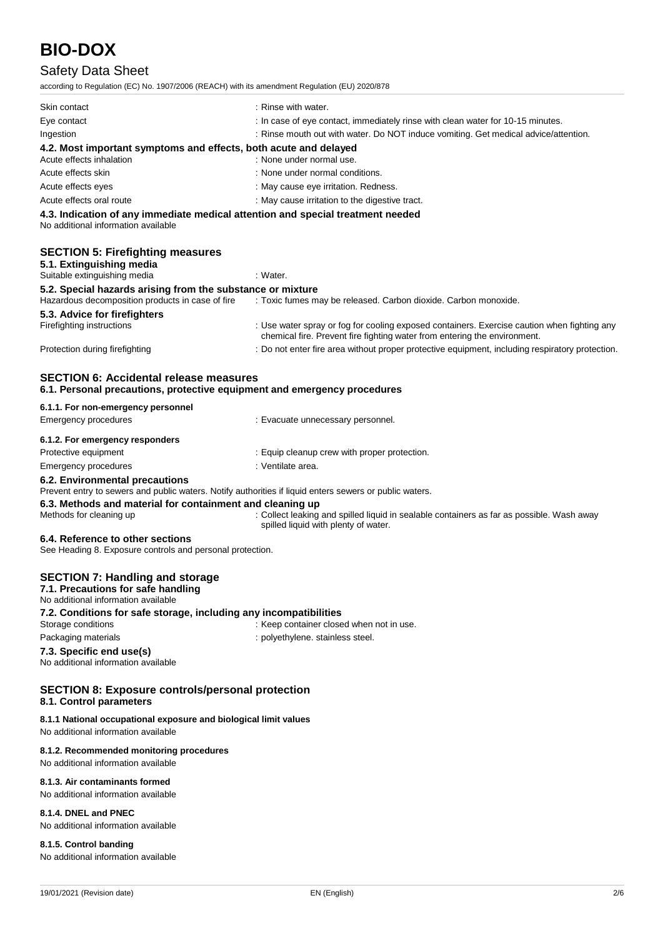## Safety Data Sheet

according to Regulation (EC) No. 1907/2006 (REACH) with its amendment Regulation (EU) 2020/878

| Skin contact                                                                                 | : Rinse with water.                                                                 |
|----------------------------------------------------------------------------------------------|-------------------------------------------------------------------------------------|
| Eye contact                                                                                  | : In case of eye contact, immediately rinse with clean water for 10-15 minutes.     |
| Ingestion                                                                                    | : Rinse mouth out with water. Do NOT induce vomiting. Get medical advice/attention. |
| 4.2. Most important symptoms and effects, both acute and delayed<br>Acute effects inhalation | : None under normal use.                                                            |
| Acute effects skin                                                                           | : None under normal conditions.                                                     |
| Acute effects eyes                                                                           | : May cause eye irritation. Redness.                                                |
| Acute effects oral route                                                                     | : May cause irritation to the digestive tract.                                      |
|                                                                                              | 4.3. Indication of any immediate medical attention and special treatment needed     |

No additional information available

| <b>SECTION 5: Firefighting measures</b><br>5.1. Extinguishing media<br>Suitable extinguishing media | : Water.                                                                                                                                                                 |
|-----------------------------------------------------------------------------------------------------|--------------------------------------------------------------------------------------------------------------------------------------------------------------------------|
| 5.2. Special hazards arising from the substance or mixture                                          |                                                                                                                                                                          |
| Hazardous decomposition products in case of fire                                                    | : Toxic fumes may be released. Carbon dioxide. Carbon monoxide.                                                                                                          |
| 5.3. Advice for firefighters                                                                        |                                                                                                                                                                          |
| Firefighting instructions                                                                           | : Use water spray or fog for cooling exposed containers. Exercise caution when fighting any<br>chemical fire. Prevent fire fighting water from entering the environment. |
| Protection during firefighting                                                                      | : Do not enter fire area without proper protective equipment, including respiratory protection.                                                                          |

#### **SECTION 6: Accidental release measures 6.1. Personal precautions, protective equipment and emergency procedures**

| 6.1.1. For non-emergency personnel |                                                                                                        |  |
|------------------------------------|--------------------------------------------------------------------------------------------------------|--|
| Emergency procedures               | : Evacuate unnecessary personnel.                                                                      |  |
| 6.1.2. For emergency responders    |                                                                                                        |  |
| Protective equipment               | : Equip cleanup crew with proper protection.                                                           |  |
| Emergency procedures               | : Ventilate area.                                                                                      |  |
| 6.2. Environmental precautions     |                                                                                                        |  |
|                                    | Drovent optry to course and public waters. Notify outborities if liquid opters course or public waters |  |

Prevent entry to sewers and public waters. Notify authorities if liquid enters sewers or public waters.

**6.3. Methods and material for containment and cleaning up**

Methods for cleaning up : Collect leaking and spilled liquid in sealable containers as far as possible. Wash away spilled liquid with plenty of water.

#### **6.4. Reference to other sections**

See Heading 8. Exposure controls and personal protection.

#### **SECTION 7: Handling and storage**

**7.1. Precautions for safe handling** No additional information available **7.2. Conditions for safe storage, including any incompatibilities** Storage conditions **Storage conditions** : Keep container closed when not in use. Packaging materials **Packaging materials** : polyethylene. stainless steel. **7.3. Specific end use(s)** No additional information available

#### **SECTION 8: Exposure controls/personal protection 8.1. Control parameters**

#### **8.1.1 National occupational exposure and biological limit values**

No additional information available

#### **8.1.2. Recommended monitoring procedures**

No additional information available

#### **8.1.3. Air contaminants formed**

No additional information available

#### **8.1.4. DNEL and PNEC**

No additional information available

#### **8.1.5. Control banding**

No additional information available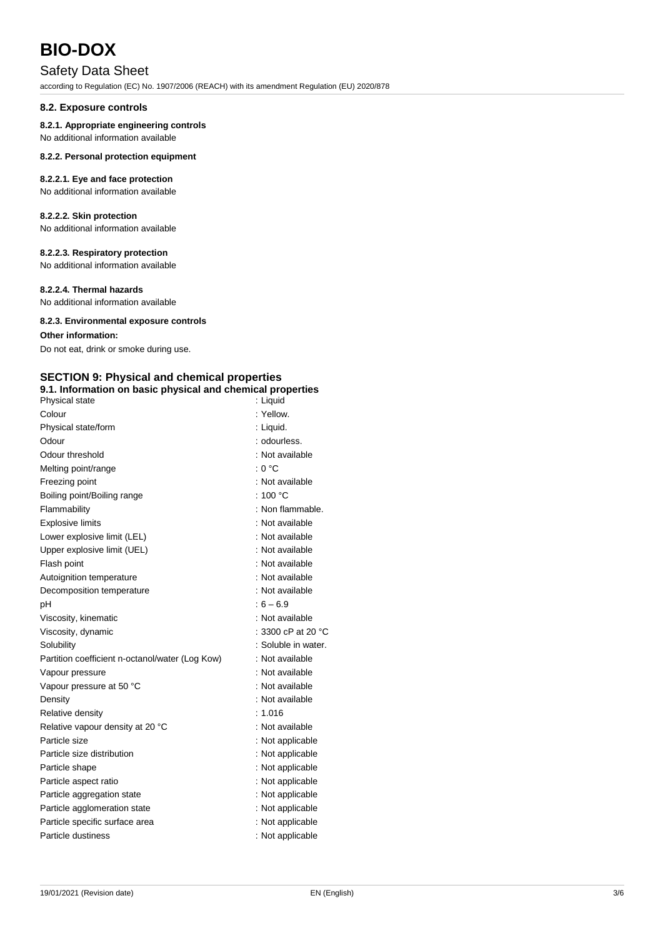## Safety Data Sheet

according to Regulation (EC) No. 1907/2006 (REACH) with its amendment Regulation (EU) 2020/878

#### **8.2. Exposure controls**

#### **8.2.1. Appropriate engineering controls**

No additional information available

#### **8.2.2. Personal protection equipment**

#### **8.2.2.1. Eye and face protection**

No additional information available

#### **8.2.2.2. Skin protection**

No additional information available

#### **8.2.2.3. Respiratory protection**

No additional information available

#### **8.2.2.4. Thermal hazards**

No additional information available

#### **8.2.3. Environmental exposure controls**

#### **Other information:**

Do not eat, drink or smoke during use.

## **SECTION 9: Physical and chemical properties**

|                | 9.1. Information on basic physical and chemical properties |
|----------------|------------------------------------------------------------|
| Physical state | :Liauid                                                    |
| $C$ olour      | ۰ Vallow                                                   |

| Colour                                          | : Yellow.                    |
|-------------------------------------------------|------------------------------|
| Physical state/form                             | : Liguid.                    |
| Odour                                           | : odourless.                 |
| Odour threshold                                 | : Not available              |
| Melting point/range                             | : 0 °C                       |
| Freezing point                                  | : Not available              |
| Boiling point/Boiling range                     | : 100 $^{\circ}$ C           |
| Flammability                                    | : Non flammable.             |
| <b>Explosive limits</b>                         | : Not available              |
| Lower explosive limit (LEL)                     | : Not available              |
| Upper explosive limit (UEL)                     | : Not available              |
| Flash point                                     | : Not available              |
| Autoignition temperature                        | : Not available              |
| Decomposition temperature                       | : Not available              |
| рH                                              | $6 - 6.9$                    |
| Viscosity, kinematic                            | : Not available              |
| Viscosity, dynamic                              | : 3300 cP at 20 $^{\circ}$ C |
| Solubility                                      | : Soluble in water.          |
| Partition coefficient n-octanol/water (Log Kow) | : Not available              |
| Vapour pressure                                 | : Not available              |
| Vapour pressure at 50 °C                        | : Not available              |
| Density                                         | : Not available              |
| Relative density                                | : 1.016                      |
| Relative vapour density at 20 °C                | : Not available              |
| Particle size                                   | : Not applicable             |
| Particle size distribution                      | : Not applicable             |
| Particle shape                                  | : Not applicable             |
| Particle aspect ratio                           | : Not applicable             |
| Particle aggregation state                      | : Not applicable             |
| Particle agglomeration state                    | : Not applicable             |
| Particle specific surface area                  | : Not applicable             |
| Particle dustiness                              | : Not applicable             |
|                                                 |                              |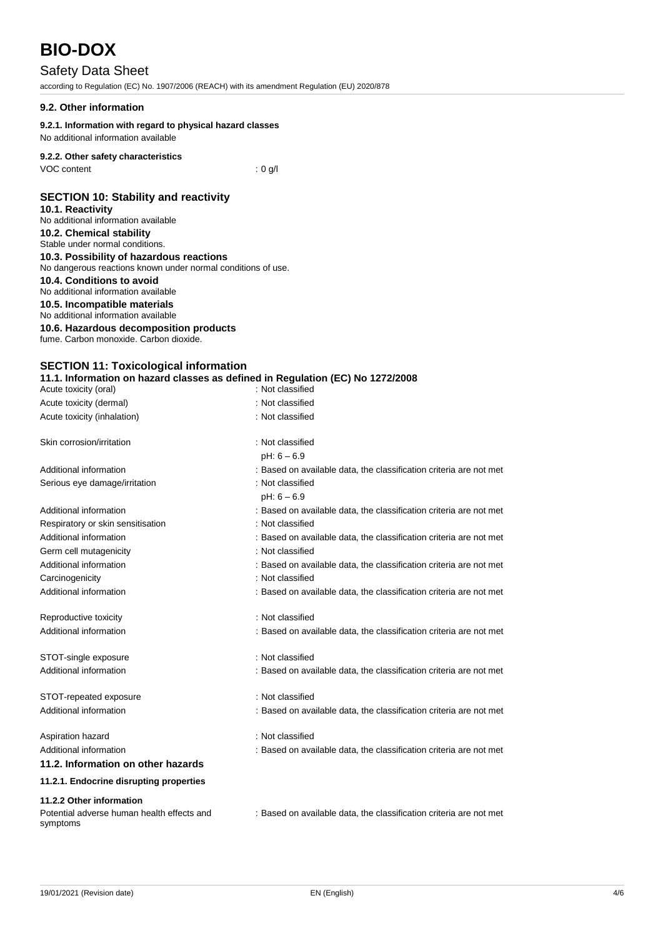## Safety Data Sheet

according to Regulation (EC) No. 1907/2006 (REACH) with its amendment Regulation (EU) 2020/878

#### **9.2. Other information**

#### **9.2.1. Information with regard to physical hazard classes**

No additional information available

### **9.2.2. Other safety characteristics**

VOC content : 0 g/l

### **SECTION 10: Stability and reactivity**

- **10.1. Reactivity** No additional information available **10.2. Chemical stability** Stable under normal conditions.
- **10.3. Possibility of hazardous reactions** No dangerous reactions known under normal conditions of use.

### **10.4. Conditions to avoid**

No additional information available

#### **10.5. Incompatible materials** No additional information available

# **10.6. Hazardous decomposition products**

fume. Carbon monoxide. Carbon dioxide.

### **SECTION 11: Toxicological information**

**11.1. Information on hazard classes as defined in Regulation (EC) No 1272/2008** Acute toxicity (oral) **interval** to the control of the control of the control of the control of the control of the control of the control of the control of the control of the control of the control of the control of the co Acute toxicity (dermal) **Example 20** Acute toxicity (dermal)

| Acute toxicity (inhalation)                            | : Not classified                                                   |
|--------------------------------------------------------|--------------------------------------------------------------------|
| Skin corrosion/irritation                              | : Not classified                                                   |
|                                                        | $pH: 6 - 6.9$                                                      |
| Additional information                                 | : Based on available data, the classification criteria are not met |
| Serious eye damage/irritation                          | : Not classified                                                   |
|                                                        | $pH: 6 - 6.9$                                                      |
| Additional information                                 | : Based on available data, the classification criteria are not met |
| Respiratory or skin sensitisation                      | : Not classified                                                   |
| Additional information                                 | : Based on available data, the classification criteria are not met |
| Germ cell mutagenicity                                 | : Not classified                                                   |
| Additional information                                 | : Based on available data, the classification criteria are not met |
| Carcinogenicity                                        | : Not classified                                                   |
| Additional information                                 | : Based on available data, the classification criteria are not met |
| Reproductive toxicity                                  | : Not classified                                                   |
| Additional information                                 | : Based on available data, the classification criteria are not met |
| STOT-single exposure                                   | : Not classified                                                   |
| Additional information                                 | : Based on available data, the classification criteria are not met |
| STOT-repeated exposure                                 | : Not classified                                                   |
| Additional information                                 | : Based on available data, the classification criteria are not met |
|                                                        |                                                                    |
| Aspiration hazard                                      | : Not classified                                                   |
| Additional information                                 | : Based on available data, the classification criteria are not met |
| 11.2. Information on other hazards                     |                                                                    |
| 11.2.1. Endocrine disrupting properties                |                                                                    |
| 11.2.2 Other information                               |                                                                    |
| Potential adverse human health effects and<br>symptoms | : Based on available data, the classification criteria are not met |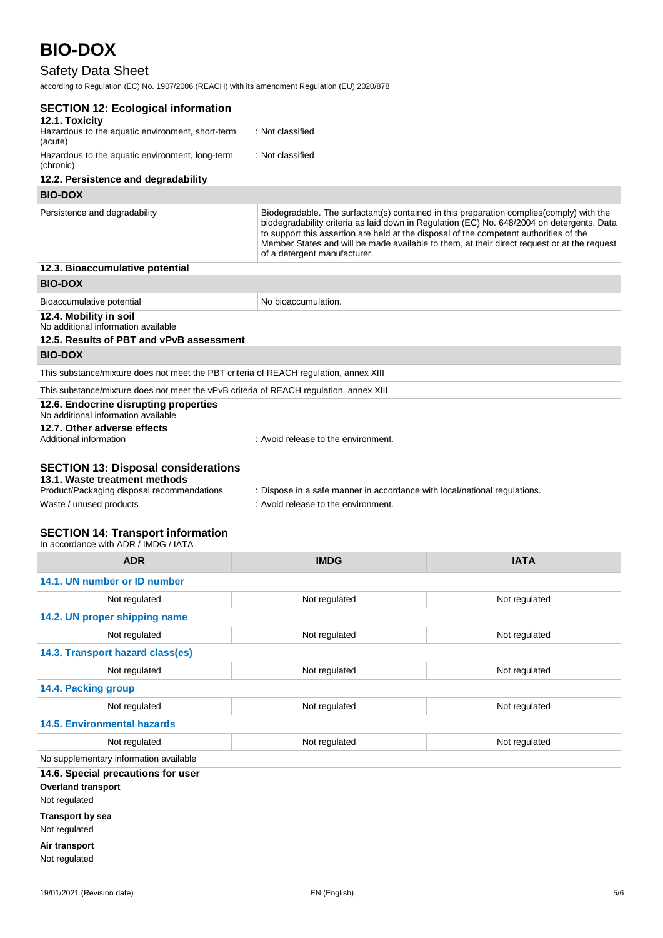## Safety Data Sheet

according to Regulation (EC) No. 1907/2006 (REACH) with its amendment Regulation (EU) 2020/878

| <b>SECTION 12: Ecological information</b>                                                                                                                                                        |                                                                                                                        |                                                                                                                                                                                                                                                                                       |
|--------------------------------------------------------------------------------------------------------------------------------------------------------------------------------------------------|------------------------------------------------------------------------------------------------------------------------|---------------------------------------------------------------------------------------------------------------------------------------------------------------------------------------------------------------------------------------------------------------------------------------|
| 12.1. Toxicity<br>Hazardous to the aquatic environment, short-term<br>(acute)                                                                                                                    | : Not classified                                                                                                       |                                                                                                                                                                                                                                                                                       |
| Hazardous to the aquatic environment, long-term<br>(chronic)                                                                                                                                     | : Not classified                                                                                                       |                                                                                                                                                                                                                                                                                       |
| 12.2. Persistence and degradability                                                                                                                                                              |                                                                                                                        |                                                                                                                                                                                                                                                                                       |
| <b>BIO-DOX</b>                                                                                                                                                                                   |                                                                                                                        |                                                                                                                                                                                                                                                                                       |
| Persistence and degradability                                                                                                                                                                    | to support this assertion are held at the disposal of the competent authorities of the<br>of a detergent manufacturer. | Biodegradable. The surfactant(s) contained in this preparation complies(comply) with the<br>biodegradability criteria as laid down in Regulation (EC) No. 648/2004 on detergents. Data<br>Member States and will be made available to them, at their direct request or at the request |
| 12.3. Bioaccumulative potential                                                                                                                                                                  |                                                                                                                        |                                                                                                                                                                                                                                                                                       |
| <b>BIO-DOX</b>                                                                                                                                                                                   |                                                                                                                        |                                                                                                                                                                                                                                                                                       |
| Bioaccumulative potential                                                                                                                                                                        | No bioaccumulation.                                                                                                    |                                                                                                                                                                                                                                                                                       |
| 12.4. Mobility in soil<br>No additional information available<br>12.5. Results of PBT and vPvB assessment                                                                                        |                                                                                                                        |                                                                                                                                                                                                                                                                                       |
| <b>BIO-DOX</b>                                                                                                                                                                                   |                                                                                                                        |                                                                                                                                                                                                                                                                                       |
| This substance/mixture does not meet the PBT criteria of REACH regulation, annex XIII                                                                                                            |                                                                                                                        |                                                                                                                                                                                                                                                                                       |
| This substance/mixture does not meet the vPvB criteria of REACH regulation, annex XIII                                                                                                           |                                                                                                                        |                                                                                                                                                                                                                                                                                       |
| 12.6. Endocrine disrupting properties<br>No additional information available<br>12.7. Other adverse effects<br>Additional information                                                            | : Avoid release to the environment.                                                                                    |                                                                                                                                                                                                                                                                                       |
|                                                                                                                                                                                                  |                                                                                                                        |                                                                                                                                                                                                                                                                                       |
| <b>SECTION 13: Disposal considerations</b><br>13.1. Waste treatment methods<br>Product/Packaging disposal recommendations<br>Waste / unused products<br><b>SECTION 14: Transport information</b> | : Dispose in a safe manner in accordance with local/national regulations.<br>: Avoid release to the environment.       |                                                                                                                                                                                                                                                                                       |
| In accordance with ADR / IMDG / IATA                                                                                                                                                             |                                                                                                                        |                                                                                                                                                                                                                                                                                       |
| <b>ADR</b>                                                                                                                                                                                       | <b>IMDG</b>                                                                                                            | <b>IATA</b>                                                                                                                                                                                                                                                                           |
| 14.1. UN number or ID number                                                                                                                                                                     |                                                                                                                        |                                                                                                                                                                                                                                                                                       |
| Not regulated                                                                                                                                                                                    | Not regulated                                                                                                          | Not regulated                                                                                                                                                                                                                                                                         |
| 14.2. UN proper shipping name                                                                                                                                                                    |                                                                                                                        |                                                                                                                                                                                                                                                                                       |
| Not regulated                                                                                                                                                                                    | Not regulated                                                                                                          | Not regulated                                                                                                                                                                                                                                                                         |
| 14.3. Transport hazard class(es)                                                                                                                                                                 |                                                                                                                        |                                                                                                                                                                                                                                                                                       |

Not regulated Not regulated Not regulated Not regulated Not regulated No supplementary information available **14.6. Special precautions for user**

**14.5. Environmental hazards**

**14.4. Packing group**

**Overland transport**

Not regulated

**Transport by sea**

Not regulated

**Air transport** Not regulated

Not regulated Not regulated Not regulated Not regulated Not regulated

Not regulated Not regulated Not regulated Not regulated Not regulated Not regulated